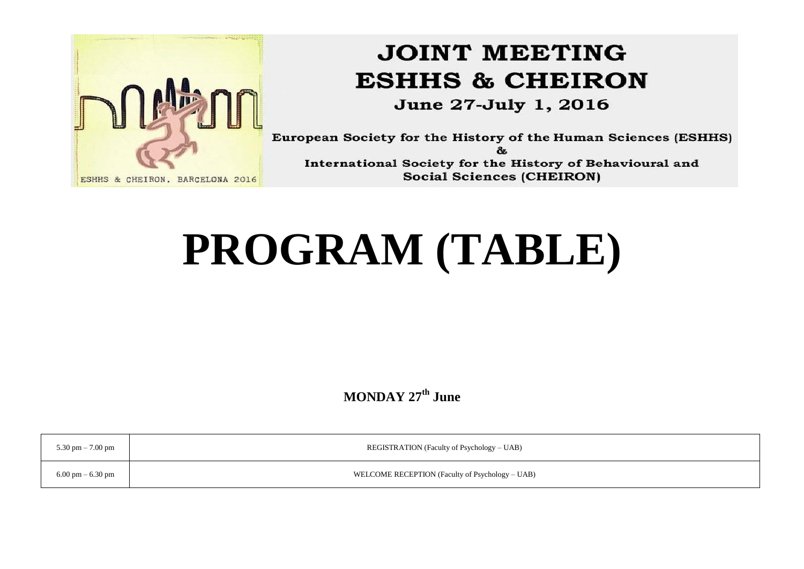

# **JOINT MEETING ESHHS & CHEIRON**

June 27-July 1, 2016

European Society for the History of the Human Sciences (ESHHS)  $8<sub>5</sub>$ International Society for the History of Behavioural and **Social Sciences (CHEIRON)** 

# **PROGRAM (TABLE)**

**MONDAY 27th June**

| 5.30 pm $-7.00$ pm                  | REGISTRATION (Faculty of Psychology – UAB)      |
|-------------------------------------|-------------------------------------------------|
| $6.00 \text{ pm} - 6.30 \text{ pm}$ | WELCOME RECEPTION (Faculty of Psychology – UAB) |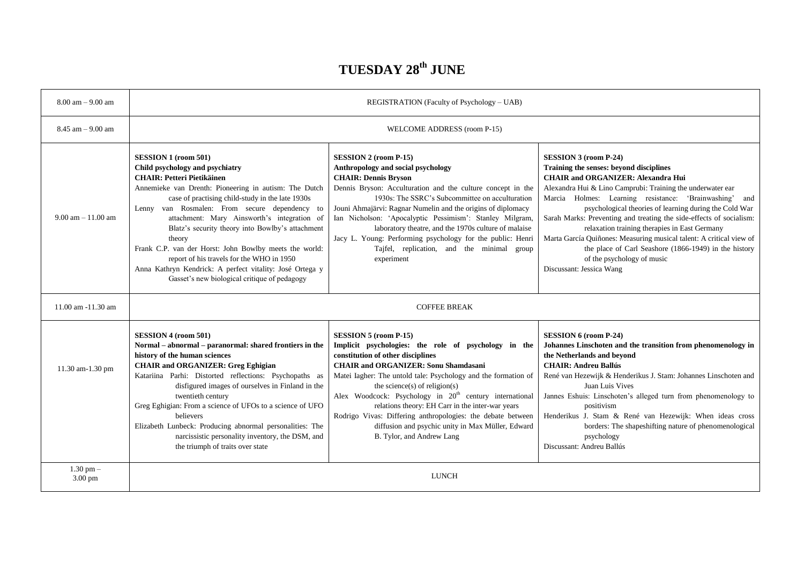#### **TUESDAY 28th JUNE**

| $8.00$ am $- 9.00$ am              | REGISTRATION (Faculty of Psychology - UAB)                                                                                                                                                                                                                                                                                                                                                                                                                                                                                                                                                        |                                                                                                                                                                                                                                                                                                                                                                                                                                                                                                                                                         |                                                                                                                                                                                                                                                                                                                                                                                                                                                                                                                                                                                                                             |  |
|------------------------------------|---------------------------------------------------------------------------------------------------------------------------------------------------------------------------------------------------------------------------------------------------------------------------------------------------------------------------------------------------------------------------------------------------------------------------------------------------------------------------------------------------------------------------------------------------------------------------------------------------|---------------------------------------------------------------------------------------------------------------------------------------------------------------------------------------------------------------------------------------------------------------------------------------------------------------------------------------------------------------------------------------------------------------------------------------------------------------------------------------------------------------------------------------------------------|-----------------------------------------------------------------------------------------------------------------------------------------------------------------------------------------------------------------------------------------------------------------------------------------------------------------------------------------------------------------------------------------------------------------------------------------------------------------------------------------------------------------------------------------------------------------------------------------------------------------------------|--|
| $8.45$ am $-9.00$ am               | WELCOME ADDRESS (room P-15)                                                                                                                                                                                                                                                                                                                                                                                                                                                                                                                                                                       |                                                                                                                                                                                                                                                                                                                                                                                                                                                                                                                                                         |                                                                                                                                                                                                                                                                                                                                                                                                                                                                                                                                                                                                                             |  |
| $9.00$ am $-11.00$ am              | <b>SESSION 1 (room 501)</b><br>Child psychology and psychiatry<br><b>CHAIR: Petteri Pietikäinen</b><br>Annemieke van Drenth: Pioneering in autism: The Dutch<br>case of practising child-study in the late 1930s<br>Lenny van Rosmalen: From secure dependency to<br>attachment: Mary Ainsworth's integration of<br>Blatz's security theory into Bowlby's attachment<br>theory<br>Frank C.P. van der Horst: John Bowlby meets the world:<br>report of his travels for the WHO in 1950<br>Anna Kathryn Kendrick: A perfect vitality: José Ortega y<br>Gasset's new biological critique of pedagogy | SESSION 2 (room P-15)<br>Anthropology and social psychology<br><b>CHAIR: Dennis Bryson</b><br>Dennis Bryson: Acculturation and the culture concept in the<br>1930s: The SSRC's Subcommittee on acculturation<br>Jouni Ahmajärvi: Ragnar Numelin and the origins of diplomacy<br>Ian Nicholson: 'Apocalyptic Pessimism': Stanley Milgram,<br>laboratory theatre, and the 1970s culture of malaise<br>Jacy L. Young: Performing psychology for the public: Henri<br>Tajfel, replication, and the minimal group<br>experiment                              | <b>SESSION 3 (room P-24)</b><br>Training the senses: beyond disciplines<br><b>CHAIR and ORGANIZER: Alexandra Hui</b><br>Alexandra Hui & Lino Camprubi: Training the underwater ear<br>Marcia Holmes: Learning resistance: 'Brainwashing'<br>and<br>psychological theories of learning during the Cold War<br>Sarah Marks: Preventing and treating the side-effects of socialism:<br>relaxation training therapies in East Germany<br>Marta García Quiñones: Measuring musical talent: A critical view of<br>the place of Carl Seashore (1866-1949) in the history<br>of the psychology of music<br>Discussant: Jessica Wang |  |
| 11.00 am -11.30 am                 | <b>COFFEE BREAK</b>                                                                                                                                                                                                                                                                                                                                                                                                                                                                                                                                                                               |                                                                                                                                                                                                                                                                                                                                                                                                                                                                                                                                                         |                                                                                                                                                                                                                                                                                                                                                                                                                                                                                                                                                                                                                             |  |
| 11.30 am-1.30 pm                   | <b>SESSION 4 (room 501)</b><br>Normal – abnormal – paranormal: shared frontiers in the<br>history of the human sciences<br><b>CHAIR and ORGANIZER: Greg Eghigian</b><br>Katariina Parhi: Distorted reflections: Psychopaths as<br>disfigured images of ourselves in Finland in the<br>twentieth century<br>Greg Eghigian: From a science of UFOs to a science of UFO<br>believers<br>Elizabeth Lunbeck: Producing abnormal personalities: The<br>narcissistic personality inventory, the DSM, and<br>the triumph of traits over state                                                             | <b>SESSION 5 (room P-15)</b><br>Implicit psychologies: the role of psychology in the<br>constitution of other disciplines<br><b>CHAIR and ORGANIZER: Sonu Shamdasani</b><br>Matei Iagher: The untold tale: Psychology and the formation of<br>the science(s) of religion(s)<br>Alex Woodcock: Psychology in 20 <sup>th</sup> century international<br>relations theory: EH Carr in the inter-war years<br>Rodrigo Vivas: Differing anthropologies: the debate between<br>diffusion and psychic unity in Max Müller, Edward<br>B. Tylor, and Andrew Lang | SESSION 6 (room P-24)<br>Johannes Linschoten and the transition from phenomenology in<br>the Netherlands and beyond<br><b>CHAIR: Andreu Ballús</b><br>René van Hezewijk & Henderikus J. Stam: Johannes Linschoten and<br>Juan Luis Vives<br>Jannes Eshuis: Linschoten's alleged turn from phenomenology to<br>positivism<br>Henderikus J. Stam & René van Hezewijk: When ideas cross<br>borders: The shapeshifting nature of phenomenological<br>psychology<br>Discussant: Andreu Ballús                                                                                                                                    |  |
| $1.30$ pm $-$<br>$3.00 \text{ pm}$ | <b>LUNCH</b>                                                                                                                                                                                                                                                                                                                                                                                                                                                                                                                                                                                      |                                                                                                                                                                                                                                                                                                                                                                                                                                                                                                                                                         |                                                                                                                                                                                                                                                                                                                                                                                                                                                                                                                                                                                                                             |  |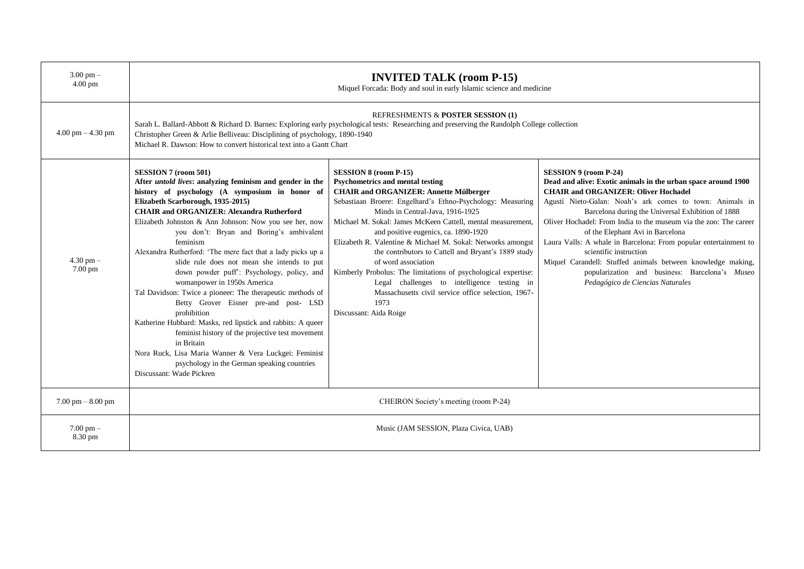| $3.00 \text{ pm} -$<br>$4.00 \text{ pm}$ | <b>INVITED TALK (room P-15)</b><br>Miquel Forcada: Body and soul in early Islamic science and medicine                                                                                                                                                                                                                                                                                                                                                                                                                                                                                                                                                                                                                                                                                                                                                                                                                                     |                                                                                                                                                                                                                                                                                                                                                                                                                                                                                                                                                                                                                                                                                          |                                                                                                                                                                                                                                                                                                                                                                                                                                                                                                                                                                                                                    |  |
|------------------------------------------|--------------------------------------------------------------------------------------------------------------------------------------------------------------------------------------------------------------------------------------------------------------------------------------------------------------------------------------------------------------------------------------------------------------------------------------------------------------------------------------------------------------------------------------------------------------------------------------------------------------------------------------------------------------------------------------------------------------------------------------------------------------------------------------------------------------------------------------------------------------------------------------------------------------------------------------------|------------------------------------------------------------------------------------------------------------------------------------------------------------------------------------------------------------------------------------------------------------------------------------------------------------------------------------------------------------------------------------------------------------------------------------------------------------------------------------------------------------------------------------------------------------------------------------------------------------------------------------------------------------------------------------------|--------------------------------------------------------------------------------------------------------------------------------------------------------------------------------------------------------------------------------------------------------------------------------------------------------------------------------------------------------------------------------------------------------------------------------------------------------------------------------------------------------------------------------------------------------------------------------------------------------------------|--|
| $4.00$ pm $- 4.30$ pm                    | REFRESHMENTS & POSTER SESSION (1)<br>Sarah L. Ballard-Abbott & Richard D. Barnes: Exploring early psychological tests: Researching and preserving the Randolph College collection<br>Christopher Green & Arlie Belliveau: Disciplining of psychology, 1890-1940<br>Michael R. Dawson: How to convert historical text into a Gantt Chart                                                                                                                                                                                                                                                                                                                                                                                                                                                                                                                                                                                                    |                                                                                                                                                                                                                                                                                                                                                                                                                                                                                                                                                                                                                                                                                          |                                                                                                                                                                                                                                                                                                                                                                                                                                                                                                                                                                                                                    |  |
| $4.30$ pm $-$<br>7.00 pm                 | SESSION 7 (room 501)<br>After <i>untold lives</i> : analyzing feminism and gender in the<br>history of psychology (A symposium in honor of<br>Elizabeth Scarborough, 1935-2015)<br><b>CHAIR and ORGANIZER: Alexandra Rutherford</b><br>Elizabeth Johnston & Ann Johnson: Now you see her, now<br>you don't: Bryan and Boring's ambivalent<br>feminism<br>Alexandra Rutherford: 'The mere fact that a lady picks up a<br>slide rule does not mean she intends to put<br>down powder puff': Psychology, policy, and<br>womanpower in 1950s America<br>Tal Davidson: Twice a pioneer: The therapeutic methods of<br>Betty Grover Eisner pre-and post- LSD<br>prohibition<br>Katherine Hubbard: Masks, red lipstick and rabbits: A queer<br>feminist history of the projective test movement<br>in Britain<br>Nora Ruck, Lisa Maria Wanner & Vera Luckgei: Feminist<br>psychology in the German speaking countries<br>Discussant: Wade Pickren | <b>SESSION 8 (room P-15)</b><br><b>Psychometrics and mental testing</b><br><b>CHAIR and ORGANIZER: Annette Mülberger</b><br>Sebastiaan Broere: Engelhard's Ethno-Psychology: Measuring<br>Minds in Central-Java, 1916-1925<br>Michael M. Sokal: James McKeen Cattell, mental measurement,<br>and positive eugenics, ca. 1890-1920<br>Elizabeth R. Valentine & Michael M. Sokal: Networks amongst<br>the contributors to Cattell and Bryant's 1889 study<br>of word association<br>Kimberly Probolus: The limitations of psychological expertise:<br>Legal challenges to intelligence testing in<br>Massachusetts civil service office selection, 1967-<br>1973<br>Discussant: Aida Roige | SESSION 9 (room P-24)<br>Dead and alive: Exotic animals in the urban space around 1900<br><b>CHAIR and ORGANIZER: Oliver Hochadel</b><br>Agustí Nieto-Galan: Noah's ark comes to town: Animals in<br>Barcelona during the Universal Exhibition of 1888<br>Oliver Hochadel: From India to the museum via the zoo: The career<br>of the Elephant Avi in Barcelona<br>Laura Valls: A whale in Barcelona: From popular entertainment to<br>scientific instruction<br>Miquel Carandell: Stuffed animals between knowledge making,<br>popularization and business: Barcelona's Museo<br>Pedagógico de Ciencias Naturales |  |
| $7.00$ pm $-8.00$ pm                     | CHEIRON Society's meeting (room P-24)                                                                                                                                                                                                                                                                                                                                                                                                                                                                                                                                                                                                                                                                                                                                                                                                                                                                                                      |                                                                                                                                                                                                                                                                                                                                                                                                                                                                                                                                                                                                                                                                                          |                                                                                                                                                                                                                                                                                                                                                                                                                                                                                                                                                                                                                    |  |
| $7.00 \text{ pm} -$<br>8.30 pm           | Music (JAM SESSION, Plaza Civica, UAB)                                                                                                                                                                                                                                                                                                                                                                                                                                                                                                                                                                                                                                                                                                                                                                                                                                                                                                     |                                                                                                                                                                                                                                                                                                                                                                                                                                                                                                                                                                                                                                                                                          |                                                                                                                                                                                                                                                                                                                                                                                                                                                                                                                                                                                                                    |  |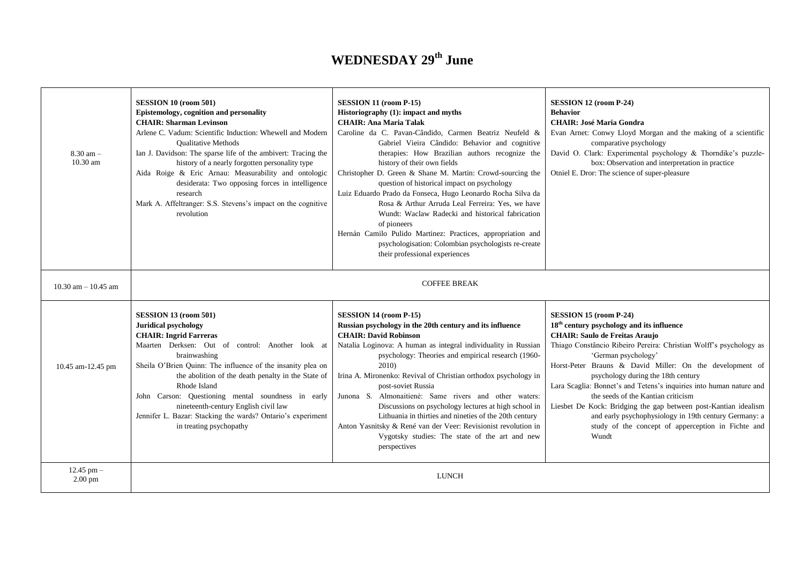## **WEDNESDAY 29th June**

| $8.30$ am $-$<br>$10.30$ am           | SESSION 10 (room 501)<br>Epistemology, cognition and personality<br><b>CHAIR: Sharman Levinson</b><br>Arlene C. Vadum: Scientific Induction: Whewell and Modern<br><b>Oualitative Methods</b><br>Ian J. Davidson: The sparse life of the ambivert: Tracing the<br>history of a nearly forgotten personality type<br>Aida Roige & Eric Arnau: Measurability and ontologic<br>desiderata: Two opposing forces in intelligence<br>research<br>Mark A. Affeltranger: S.S. Stevens's impact on the cognitive<br>revolution | SESSION 11 (room P-15)<br>Historiography (1): impact and myths<br><b>CHAIR: Ana Maria Talak</b><br>Caroline da C. Pavan-Cândido, Carmen Beatriz Neufeld &<br>Gabriel Vieira Cândido: Behavior and cognitive<br>therapies: How Brazilian authors recognize the<br>history of their own fields<br>Christopher D. Green & Shane M. Martin: Crowd-sourcing the<br>question of historical impact on psychology<br>Luiz Eduardo Prado da Fonseca, Hugo Leonardo Rocha Silva da<br>Rosa & Arthur Arruda Leal Ferreira: Yes, we have<br>Wundt: Waclaw Radecki and historical fabrication<br>of pioneers<br>Hernán Camilo Pulido Martinez: Practices, appropriation and<br>psychologisation: Colombian psychologists re-create<br>their professional experiences | SESSION 12 (room P-24)<br><b>Behavior</b><br><b>CHAIR: José Maria Gondra</b><br>Evan Arnet: Conwy Lloyd Morgan and the making of a scientific<br>comparative psychology<br>David O. Clark: Experimental psychology & Thorndike's puzzle-<br>box: Observation and interpretation in practice<br>Otniel E. Dror: The science of super-pleasure                                                                                                                                                                                                                                                                                    |
|---------------------------------------|-----------------------------------------------------------------------------------------------------------------------------------------------------------------------------------------------------------------------------------------------------------------------------------------------------------------------------------------------------------------------------------------------------------------------------------------------------------------------------------------------------------------------|---------------------------------------------------------------------------------------------------------------------------------------------------------------------------------------------------------------------------------------------------------------------------------------------------------------------------------------------------------------------------------------------------------------------------------------------------------------------------------------------------------------------------------------------------------------------------------------------------------------------------------------------------------------------------------------------------------------------------------------------------------|---------------------------------------------------------------------------------------------------------------------------------------------------------------------------------------------------------------------------------------------------------------------------------------------------------------------------------------------------------------------------------------------------------------------------------------------------------------------------------------------------------------------------------------------------------------------------------------------------------------------------------|
| $10.30$ am $- 10.45$ am               | <b>COFFEE BREAK</b>                                                                                                                                                                                                                                                                                                                                                                                                                                                                                                   |                                                                                                                                                                                                                                                                                                                                                                                                                                                                                                                                                                                                                                                                                                                                                         |                                                                                                                                                                                                                                                                                                                                                                                                                                                                                                                                                                                                                                 |
| 10.45 am-12.45 pm                     | SESSION 13 (room 501)<br><b>Juridical psychology</b><br><b>CHAIR: Ingrid Farreras</b><br>Maarten Derksen: Out of control: Another look at<br>brainwashing<br>Sheila O'Brien Quinn: The influence of the insanity plea on<br>the abolition of the death penalty in the State of<br>Rhode Island<br>John Carson: Questioning mental soundness in early<br>nineteenth-century English civil law<br>Jennifer L. Bazar: Stacking the wards? Ontario's experiment<br>in treating psychopathy                                | SESSION 14 (room P-15)<br>Russian psychology in the 20th century and its influence<br><b>CHAIR: David Robinson</b><br>Natalia Loginova: A human as integral individuality in Russian<br>psychology: Theories and empirical research (1960-<br>2010)<br>Irina A. Mironenko: Revival of Christian orthodox psychology in<br>post-soviet Russia<br>Junona S. Almonaitienė: Same rivers and other waters:<br>Discussions on psychology lectures at high school in<br>Lithuania in thirties and nineties of the 20th century<br>Anton Yasnitsky & René van der Veer: Revisionist revolution in<br>Vygotsky studies: The state of the art and new<br>perspectives                                                                                             | SESSION 15 (room P-24)<br>18 <sup>th</sup> century psychology and its influence<br><b>CHAIR: Saulo de Freitas Araujo</b><br>Thiago Constâncio Ribeiro Pereira: Christian Wolff's psychology as<br>'German psychology'<br>Horst-Peter Brauns & David Miller: On the development of<br>psychology during the 18th century<br>Lara Scaglia: Bonnet's and Tetens's inquiries into human nature and<br>the seeds of the Kantian criticism<br>Liesbet De Kock: Bridging the gap between post-Kantian idealism<br>and early psychophysiology in 19th century Germany: a<br>study of the concept of apperception in Fichte and<br>Wundt |
| $12.45$ pm $-$<br>$2.00\ \mathrm{pm}$ | <b>LUNCH</b>                                                                                                                                                                                                                                                                                                                                                                                                                                                                                                          |                                                                                                                                                                                                                                                                                                                                                                                                                                                                                                                                                                                                                                                                                                                                                         |                                                                                                                                                                                                                                                                                                                                                                                                                                                                                                                                                                                                                                 |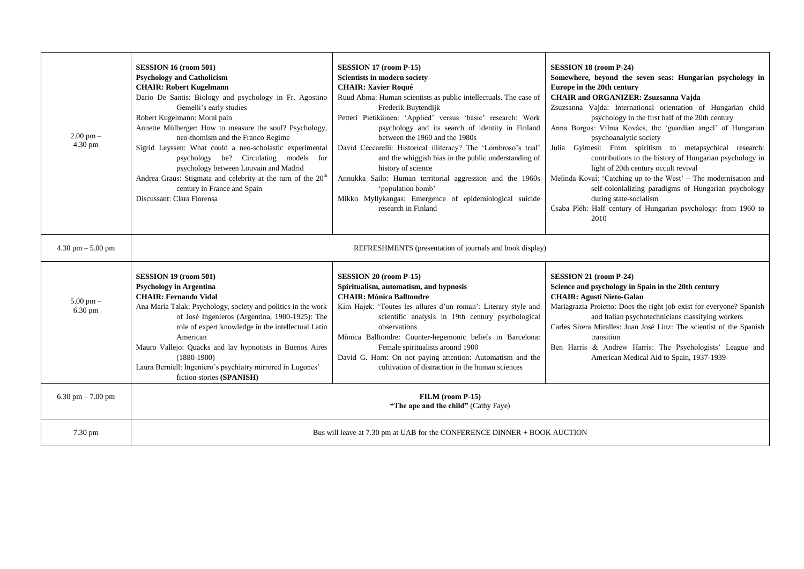| $2.00 \text{ pm} -$<br>$4.30 \text{ pm}$ | SESSION 16 (room 501)<br><b>Psychology and Catholicism</b><br><b>CHAIR: Robert Kugelmann</b><br>Dario De Santis: Biology and psychology in Fr. Agostino<br>Gemelli's early studies<br>Robert Kugelmann: Moral pain<br>Annette Mülberger: How to measure the soul? Psychology,<br>neo-thomism and the Franco Regime<br>Sigrid Leyssen: What could a neo-scholastic experimental<br>psychology be? Circulating models for<br>psychology between Louvain and Madrid<br>Andrea Graus: Stigmata and celebrity at the turn of the 20 <sup>th</sup><br>century in France and Spain<br>Discussant: Clara Florensa | SESSION 17 (room P-15)<br><b>Scientists in modern society</b><br><b>CHAIR: Xavier Roqué</b><br>Ruud Abma: Human scientists as public intellectuals. The case of<br>Frederik Buytendijk<br>Petteri Pietikäinen: 'Applied' versus 'basic' research: Work<br>psychology and its search of identity in Finland<br>between the 1960 and the 1980s<br>David Ceccarelli: Historical illiteracy? The 'Lombroso's trial'<br>and the whiggish bias in the public understanding of<br>history of science<br>Annukka Sailo: Human territorial aggression and the 1960s<br>'population bomb'<br>Mikko Myllykangas: Emergence of epidemiological suicide<br>research in Finland | SESSION 18 (room P-24)<br>Somewhere, beyond the seven seas: Hungarian psychology in<br>Europe in the 20th century<br><b>CHAIR and ORGANIZER: Zsuzsanna Vajda</b><br>Zsuzsanna Vajda: International orientation of Hungarian child<br>psychology in the first half of the 20th century<br>Anna Borgos: Vilma Kovács, the 'guardian angel' of Hungarian<br>psychoanalytic society<br>Julia Gyimesi: From spiritism to metapsychical research:<br>contributions to the history of Hungarian psychology in<br>light of 20th century occult revival<br>Melinda Kovai: 'Catching up to the West' - The modernisation and<br>self-colonializing paradigms of Hungarian psychology<br>during state-socialism<br>Csaba Pléh: Half century of Hungarian psychology: from 1960 to<br>2010 |
|------------------------------------------|-----------------------------------------------------------------------------------------------------------------------------------------------------------------------------------------------------------------------------------------------------------------------------------------------------------------------------------------------------------------------------------------------------------------------------------------------------------------------------------------------------------------------------------------------------------------------------------------------------------|-------------------------------------------------------------------------------------------------------------------------------------------------------------------------------------------------------------------------------------------------------------------------------------------------------------------------------------------------------------------------------------------------------------------------------------------------------------------------------------------------------------------------------------------------------------------------------------------------------------------------------------------------------------------|--------------------------------------------------------------------------------------------------------------------------------------------------------------------------------------------------------------------------------------------------------------------------------------------------------------------------------------------------------------------------------------------------------------------------------------------------------------------------------------------------------------------------------------------------------------------------------------------------------------------------------------------------------------------------------------------------------------------------------------------------------------------------------|
| $4.30$ pm $- 5.00$ pm                    | REFRESHMENTS (presentation of journals and book display)                                                                                                                                                                                                                                                                                                                                                                                                                                                                                                                                                  |                                                                                                                                                                                                                                                                                                                                                                                                                                                                                                                                                                                                                                                                   |                                                                                                                                                                                                                                                                                                                                                                                                                                                                                                                                                                                                                                                                                                                                                                                |
| $5.00 \text{ pm} -$<br>6.30 pm           | SESSION 19 (room 501)<br><b>Psychology in Argentina</b><br><b>CHAIR: Fernando Vidal</b><br>Ana María Talak: Psychology, society and politics in the work<br>of José Ingenieros (Argentina, 1900-1925): The<br>role of expert knowledge in the intellectual Latin<br>American<br>Mauro Vallejo: Quacks and lay hypnotists in Buenos Aires<br>$(1880-1900)$<br>Laura Berniell: Ingeniero's psychiatry mirrored in Lugones'<br>fiction stories (SPANISH)                                                                                                                                                     | SESSION 20 (room P-15)<br>Spiritualism, automatism, and hypnosis<br><b>CHAIR: Mónica Balltondre</b><br>Kim Hajek: 'Toutes les allures d'un roman': Literary style and<br>scientific analysis in 19th century psychological<br>observations<br>Mònica Balltondre: Counter-hegemonic beliefs in Barcelona:<br>Female spiritualists around 1900<br>David G. Horn: On not paying attention: Automatism and the<br>cultivation of distraction in the human sciences                                                                                                                                                                                                    | SESSION 21 (room P-24)<br>Science and psychology in Spain in the 20th century<br><b>CHAIR: Agustí Nieto-Galan</b><br>Mariagrazia Proietto: Does the right job exist for everyone? Spanish<br>and Italian psychotechnicians classifying workers<br>Carles Sirera Miralles: Juan José Linz: The scientist of the Spanish<br>transition<br>Ben Harris & Andrew Harris: The Psychologists' League and<br>American Medical Aid to Spain, 1937-1939                                                                                                                                                                                                                                                                                                                                  |
| 6.30 pm $-7.00$ pm                       | FILM (room P-15)<br>"The ape and the child" (Cathy Faye)                                                                                                                                                                                                                                                                                                                                                                                                                                                                                                                                                  |                                                                                                                                                                                                                                                                                                                                                                                                                                                                                                                                                                                                                                                                   |                                                                                                                                                                                                                                                                                                                                                                                                                                                                                                                                                                                                                                                                                                                                                                                |
| $7.30 \text{ pm}$                        | Bus will leave at 7.30 pm at UAB for the CONFERENCE DINNER + BOOK AUCTION                                                                                                                                                                                                                                                                                                                                                                                                                                                                                                                                 |                                                                                                                                                                                                                                                                                                                                                                                                                                                                                                                                                                                                                                                                   |                                                                                                                                                                                                                                                                                                                                                                                                                                                                                                                                                                                                                                                                                                                                                                                |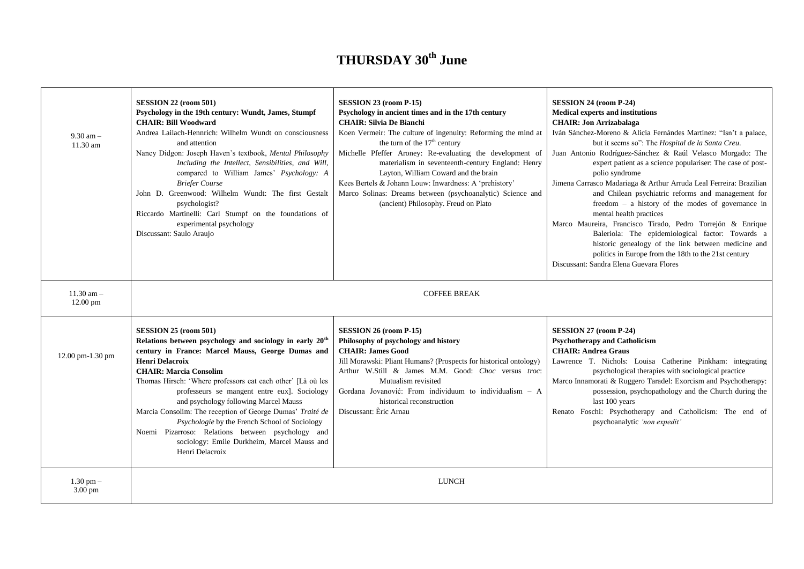## **THURSDAY 30th June**

| $9.30$ am $-$<br>$11.30$ am        | SESSION 22 (room 501)<br>Psychology in the 19th century: Wundt, James, Stumpf<br><b>CHAIR: Bill Woodward</b><br>Andrea Lailach-Hennrich: Wilhelm Wundt on consciousness<br>and attention<br>Nancy Didgon: Joseph Haven's textbook, Mental Philosophy<br>Including the Intellect, Sensibilities, and Will,<br>compared to William James' Psychology: A<br><b>Briefer Course</b><br>John D. Greenwood: Wilhelm Wundt: The first Gestalt<br>psychologist?<br>Riccardo Martinelli: Carl Stumpf on the foundations of<br>experimental psychology<br>Discussant: Saulo Araujo                                    | SESSION 23 (room P-15)<br>Psychology in ancient times and in the 17th century<br><b>CHAIR: Silvia De Bianchi</b><br>Koen Vermeir: The culture of ingenuity: Reforming the mind at<br>the turn of the 17 <sup>th</sup> century<br>Michelle Pfeffer Aroney: Re-evaluating the development of<br>materialism in seventeenth-century England: Henry<br>Layton, William Coward and the brain<br>Kees Bertels & Johann Louw: Inwardness: A 'prehistory'<br>Marco Solinas: Dreams between (psychoanalytic) Science and<br>(ancient) Philosophy. Freud on Plato | SESSION 24 (room P-24)<br><b>Medical experts and institutions</b><br><b>CHAIR: Jon Arrizabalaga</b><br>Iván Sánchez-Moreno & Alicia Fernándes Martínez: "Isn't a palace,<br>but it seems so": The Hospital de la Santa Creu.<br>Juan Antonio Rodríguez-Sánchez & Raúl Velasco Morgado: The<br>expert patient as a science populariser: The case of post-<br>polio syndrome<br>Jimena Carrasco Madariaga & Arthur Arruda Leal Ferreira: Brazilian<br>and Chilean psychiatric reforms and management for<br>freedom $-$ a history of the modes of governance in<br>mental health practices<br>Marco Maureira, Francisco Tirado, Pedro Torrejón & Enrique<br>Baleriola: The epidemiological factor: Towards a<br>historic genealogy of the link between medicine and<br>politics in Europe from the 18th to the 21st century<br>Discussant: Sandra Elena Guevara Flores |
|------------------------------------|------------------------------------------------------------------------------------------------------------------------------------------------------------------------------------------------------------------------------------------------------------------------------------------------------------------------------------------------------------------------------------------------------------------------------------------------------------------------------------------------------------------------------------------------------------------------------------------------------------|---------------------------------------------------------------------------------------------------------------------------------------------------------------------------------------------------------------------------------------------------------------------------------------------------------------------------------------------------------------------------------------------------------------------------------------------------------------------------------------------------------------------------------------------------------|----------------------------------------------------------------------------------------------------------------------------------------------------------------------------------------------------------------------------------------------------------------------------------------------------------------------------------------------------------------------------------------------------------------------------------------------------------------------------------------------------------------------------------------------------------------------------------------------------------------------------------------------------------------------------------------------------------------------------------------------------------------------------------------------------------------------------------------------------------------------|
| $11.30$ am $-$<br>12.00 pm         | <b>COFFEE BREAK</b>                                                                                                                                                                                                                                                                                                                                                                                                                                                                                                                                                                                        |                                                                                                                                                                                                                                                                                                                                                                                                                                                                                                                                                         |                                                                                                                                                                                                                                                                                                                                                                                                                                                                                                                                                                                                                                                                                                                                                                                                                                                                      |
| 12.00 pm-1.30 pm                   | SESSION 25 (room 501)<br>Relations between psychology and sociology in early 20 <sup>th</sup><br>century in France: Marcel Mauss, George Dumas and<br><b>Henri Delacroix</b><br><b>CHAIR: Marcia Consolim</b><br>Thomas Hirsch: 'Where professors eat each other' [Là où les<br>professeurs se mangent entre eux]. Sociology<br>and psychology following Marcel Mauss<br>Marcia Consolim: The reception of George Dumas' Traité de<br>Psychologie by the French School of Sociology<br>Noemi Pizarroso: Relations between psychology and<br>sociology: Emile Durkheim, Marcel Mauss and<br>Henri Delacroix | SESSION 26 (room P-15)<br>Philosophy of psychology and history<br><b>CHAIR: James Good</b><br>Jill Morawski: Pliant Humans? (Prospects for historical ontology)<br>Arthur W.Still & James M.M. Good: Choc versus troc:<br>Mutualism revisited<br>Gordana Jovanović: From individuum to individualism - A<br>historical reconstruction<br>Discussant: Èric Arnau                                                                                                                                                                                         | SESSION 27 (room P-24)<br><b>Psychotherapy and Catholicism</b><br><b>CHAIR: Andrea Graus</b><br>Lawrence T. Nichols: Louisa Catherine Pinkham: integrating<br>psychological therapies with sociological practice<br>Marco Innamorati & Ruggero Taradel: Exorcism and Psychotherapy:<br>possession, psychopathology and the Church during the<br>last 100 years<br>Renato Foschi: Psychotherapy and Catholicism: The end of<br>psychoanalytic 'non expedit'                                                                                                                                                                                                                                                                                                                                                                                                           |
| $1.30$ pm $-$<br>$3.00 \text{ pm}$ | <b>LUNCH</b>                                                                                                                                                                                                                                                                                                                                                                                                                                                                                                                                                                                               |                                                                                                                                                                                                                                                                                                                                                                                                                                                                                                                                                         |                                                                                                                                                                                                                                                                                                                                                                                                                                                                                                                                                                                                                                                                                                                                                                                                                                                                      |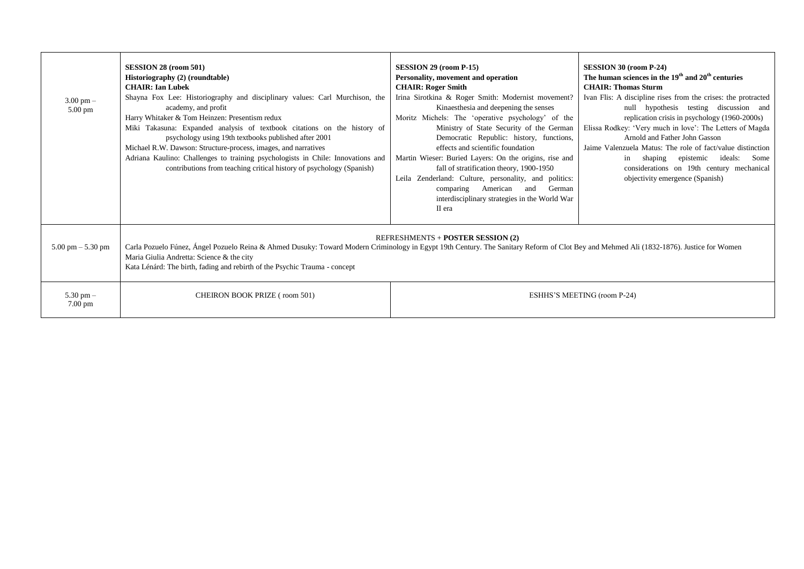| $3.00 \text{ pm} -$<br>$5.00 \text{ pm}$ | SESSION 28 (room 501)<br><b>Historiography</b> (2) (roundtable)<br><b>CHAIR: Ian Lubek</b><br>Shayna Fox Lee: Historiography and disciplinary values: Carl Murchison, the<br>academy, and profit<br>Harry Whitaker & Tom Heinzen: Presentism redux<br>Miki Takasuna: Expanded analysis of textbook citations on the history of<br>psychology using 19th textbooks published after 2001<br>Michael R.W. Dawson: Structure-process, images, and narratives<br>Adriana Kaulino: Challenges to training psychologists in Chile: Innovations and<br>contributions from teaching critical history of psychology (Spanish) | SESSION 29 (room P-15)<br>Personality, movement and operation<br><b>CHAIR: Roger Smith</b><br>Irina Sirotkina & Roger Smith: Modernist movement?<br>Kinaesthesia and deepening the senses<br>Moritz Michels: The 'operative psychology' of the<br>Ministry of State Security of the German<br>Democratic Republic: history, functions,<br>effects and scientific foundation<br>Martin Wieser: Buried Layers: On the origins, rise and<br>fall of stratification theory, 1900-1950<br>Leila Zenderland: Culture, personality, and politics:<br>comparing American and German<br>interdisciplinary strategies in the World War<br>II era | SESSION 30 (room P-24)<br>The human sciences in the $19th$ and $20th$ centuries<br><b>CHAIR: Thomas Sturm</b><br>Ivan Flis: A discipline rises from the crises: the protracted<br>null hypothesis testing discussion and<br>replication crisis in psychology (1960-2000s)<br>Elissa Rodkey: 'Very much in love': The Letters of Magda<br>Arnold and Father John Gasson<br>Jaime Valenzuela Matus: The role of fact/value distinction<br>in shaping epistemic ideals:<br>Some<br>considerations on 19th century mechanical<br>objectivity emergence (Spanish) |
|------------------------------------------|---------------------------------------------------------------------------------------------------------------------------------------------------------------------------------------------------------------------------------------------------------------------------------------------------------------------------------------------------------------------------------------------------------------------------------------------------------------------------------------------------------------------------------------------------------------------------------------------------------------------|----------------------------------------------------------------------------------------------------------------------------------------------------------------------------------------------------------------------------------------------------------------------------------------------------------------------------------------------------------------------------------------------------------------------------------------------------------------------------------------------------------------------------------------------------------------------------------------------------------------------------------------|--------------------------------------------------------------------------------------------------------------------------------------------------------------------------------------------------------------------------------------------------------------------------------------------------------------------------------------------------------------------------------------------------------------------------------------------------------------------------------------------------------------------------------------------------------------|
| $5.00 \text{ pm} - 5.30 \text{ pm}$      | <b>REFRESHMENTS + POSTER SESSION (2)</b><br>Carla Pozuelo Fúnez, Ángel Pozuelo Reina & Ahmed Dusuky: Toward Modern Criminology in Egypt 19th Century. The Sanitary Reform of Clot Bey and Mehmed Ali (1832-1876). Justice for Women<br>Maria Giulia Andretta: Science & the city<br>Kata Lénárd: The birth, fading and rebirth of the Psychic Trauma - concept                                                                                                                                                                                                                                                      |                                                                                                                                                                                                                                                                                                                                                                                                                                                                                                                                                                                                                                        |                                                                                                                                                                                                                                                                                                                                                                                                                                                                                                                                                              |
| 5.30 pm $-$<br>7.00 pm                   | CHEIRON BOOK PRIZE (room 501)                                                                                                                                                                                                                                                                                                                                                                                                                                                                                                                                                                                       |                                                                                                                                                                                                                                                                                                                                                                                                                                                                                                                                                                                                                                        | ESHHS'S MEETING (room P-24)                                                                                                                                                                                                                                                                                                                                                                                                                                                                                                                                  |